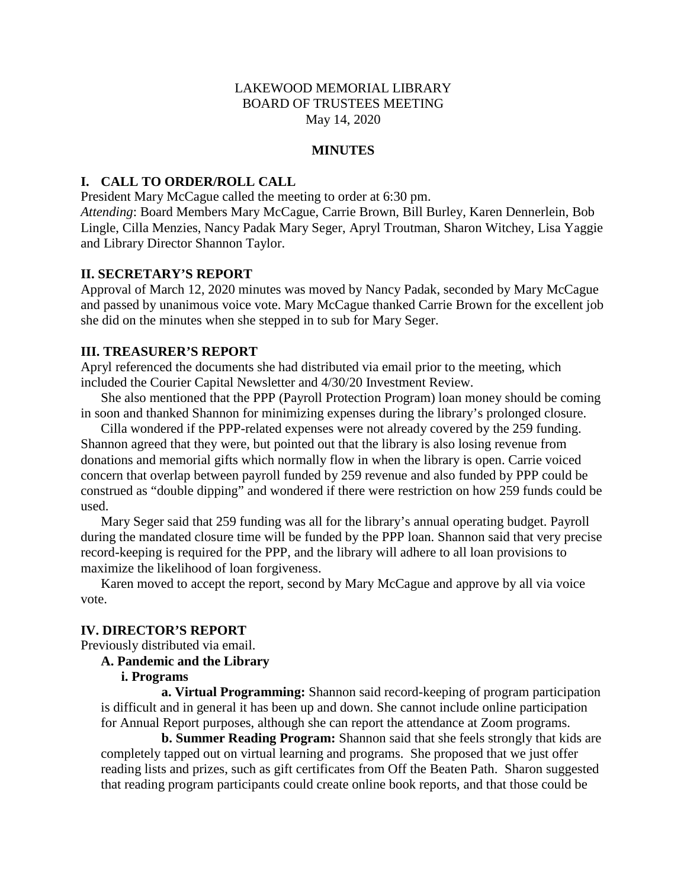### LAKEWOOD MEMORIAL LIBRARY BOARD OF TRUSTEES MEETING May 14, 2020

#### **MINUTES**

### **I. CALL TO ORDER/ROLL CALL**

President Mary McCague called the meeting to order at 6:30 pm.

*Attending*: Board Members Mary McCague, Carrie Brown, Bill Burley, Karen Dennerlein, Bob Lingle, Cilla Menzies, Nancy Padak Mary Seger, Apryl Troutman, Sharon Witchey, Lisa Yaggie and Library Director Shannon Taylor.

#### **II. SECRETARY'S REPORT**

Approval of March 12, 2020 minutes was moved by Nancy Padak, seconded by Mary McCague and passed by unanimous voice vote. Mary McCague thanked Carrie Brown for the excellent job she did on the minutes when she stepped in to sub for Mary Seger.

### **III. TREASURER'S REPORT**

Apryl referenced the documents she had distributed via email prior to the meeting, which included the Courier Capital Newsletter and 4/30/20 Investment Review.

She also mentioned that the PPP (Payroll Protection Program) loan money should be coming in soon and thanked Shannon for minimizing expenses during the library's prolonged closure.

Cilla wondered if the PPP-related expenses were not already covered by the 259 funding. Shannon agreed that they were, but pointed out that the library is also losing revenue from donations and memorial gifts which normally flow in when the library is open. Carrie voiced concern that overlap between payroll funded by 259 revenue and also funded by PPP could be construed as "double dipping" and wondered if there were restriction on how 259 funds could be used.

Mary Seger said that 259 funding was all for the library's annual operating budget. Payroll during the mandated closure time will be funded by the PPP loan. Shannon said that very precise record-keeping is required for the PPP, and the library will adhere to all loan provisions to maximize the likelihood of loan forgiveness.

Karen moved to accept the report, second by Mary McCague and approve by all via voice vote.

#### **IV. DIRECTOR'S REPORT**

Previously distributed via email.

# **A. Pandemic and the Library**

### **i. Programs**

**a. Virtual Programming:** Shannon said record-keeping of program participation is difficult and in general it has been up and down. She cannot include online participation for Annual Report purposes, although she can report the attendance at Zoom programs.

**b. Summer Reading Program:** Shannon said that she feels strongly that kids are completely tapped out on virtual learning and programs. She proposed that we just offer reading lists and prizes, such as gift certificates from Off the Beaten Path. Sharon suggested that reading program participants could create online book reports, and that those could be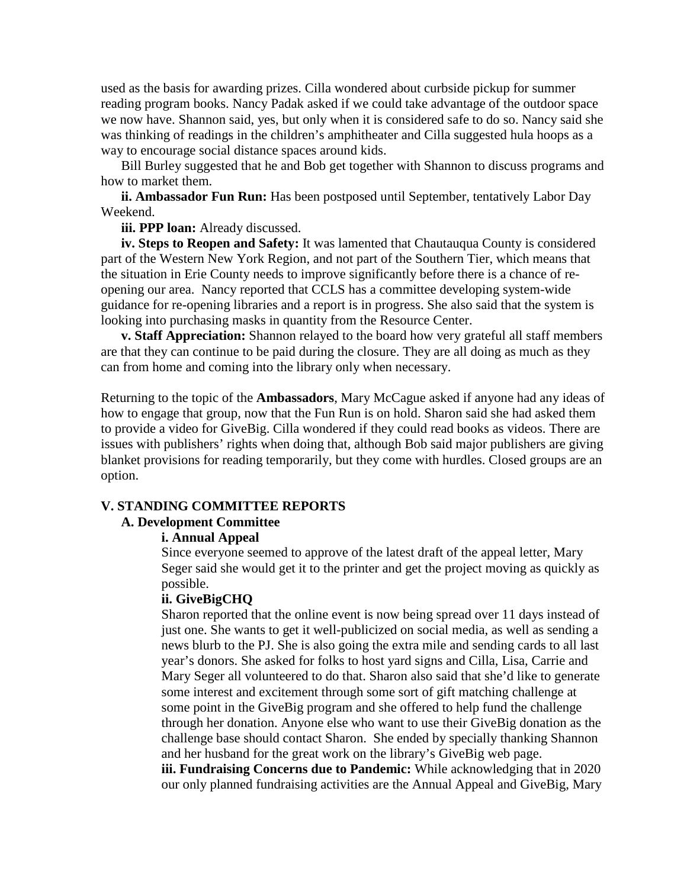used as the basis for awarding prizes. Cilla wondered about curbside pickup for summer reading program books. Nancy Padak asked if we could take advantage of the outdoor space we now have. Shannon said, yes, but only when it is considered safe to do so. Nancy said she was thinking of readings in the children's amphitheater and Cilla suggested hula hoops as a way to encourage social distance spaces around kids.

Bill Burley suggested that he and Bob get together with Shannon to discuss programs and how to market them.

**ii. Ambassador Fun Run:** Has been postposed until September, tentatively Labor Day Weekend.

**iii. PPP loan:** Already discussed.

**iv. Steps to Reopen and Safety:** It was lamented that Chautauqua County is considered part of the Western New York Region, and not part of the Southern Tier, which means that the situation in Erie County needs to improve significantly before there is a chance of reopening our area. Nancy reported that CCLS has a committee developing system-wide guidance for re-opening libraries and a report is in progress. She also said that the system is looking into purchasing masks in quantity from the Resource Center.

**v. Staff Appreciation:** Shannon relayed to the board how very grateful all staff members are that they can continue to be paid during the closure. They are all doing as much as they can from home and coming into the library only when necessary.

Returning to the topic of the **Ambassadors**, Mary McCague asked if anyone had any ideas of how to engage that group, now that the Fun Run is on hold. Sharon said she had asked them to provide a video for GiveBig. Cilla wondered if they could read books as videos. There are issues with publishers' rights when doing that, although Bob said major publishers are giving blanket provisions for reading temporarily, but they come with hurdles. Closed groups are an option.

#### **V. STANDING COMMITTEE REPORTS**

#### **A. Development Committee**

#### **i. Annual Appeal**

Since everyone seemed to approve of the latest draft of the appeal letter, Mary Seger said she would get it to the printer and get the project moving as quickly as possible.

## **ii. GiveBigCHQ**

Sharon reported that the online event is now being spread over 11 days instead of just one. She wants to get it well-publicized on social media, as well as sending a news blurb to the PJ. She is also going the extra mile and sending cards to all last year's donors. She asked for folks to host yard signs and Cilla, Lisa, Carrie and Mary Seger all volunteered to do that. Sharon also said that she'd like to generate some interest and excitement through some sort of gift matching challenge at some point in the GiveBig program and she offered to help fund the challenge through her donation. Anyone else who want to use their GiveBig donation as the challenge base should contact Sharon. She ended by specially thanking Shannon and her husband for the great work on the library's GiveBig web page.

**iii. Fundraising Concerns due to Pandemic:** While acknowledging that in 2020 our only planned fundraising activities are the Annual Appeal and GiveBig, Mary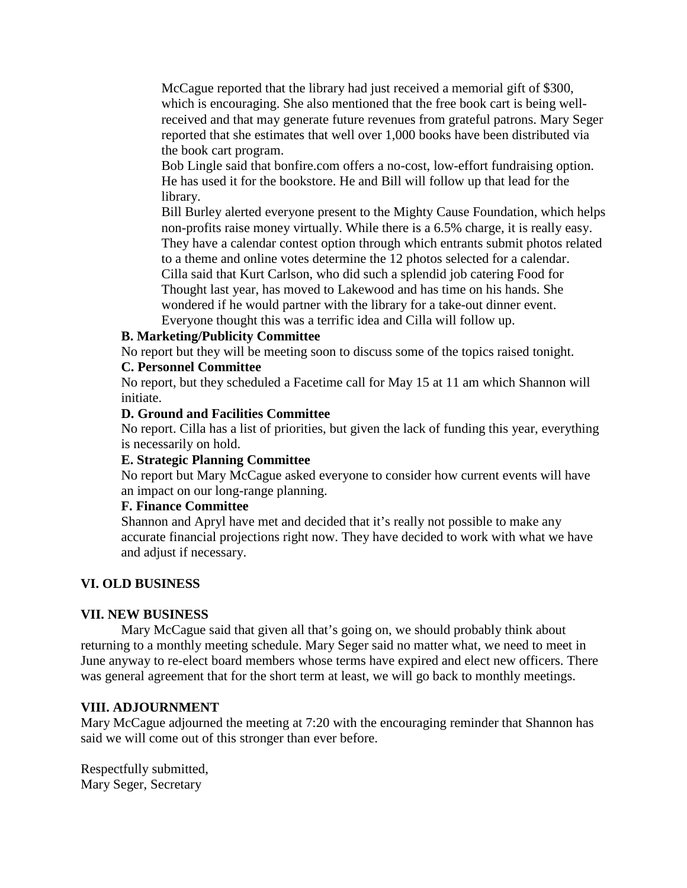McCague reported that the library had just received a memorial gift of \$300, which is encouraging. She also mentioned that the free book cart is being wellreceived and that may generate future revenues from grateful patrons. Mary Seger reported that she estimates that well over 1,000 books have been distributed via the book cart program.

Bob Lingle said that bonfire.com offers a no-cost, low-effort fundraising option. He has used it for the bookstore. He and Bill will follow up that lead for the library.

Bill Burley alerted everyone present to the Mighty Cause Foundation, which helps non-profits raise money virtually. While there is a 6.5% charge, it is really easy. They have a calendar contest option through which entrants submit photos related to a theme and online votes determine the 12 photos selected for a calendar. Cilla said that Kurt Carlson, who did such a splendid job catering Food for Thought last year, has moved to Lakewood and has time on his hands. She wondered if he would partner with the library for a take-out dinner event. Everyone thought this was a terrific idea and Cilla will follow up.

# **B. Marketing/Publicity Committee**

No report but they will be meeting soon to discuss some of the topics raised tonight.

# **C. Personnel Committee**

No report, but they scheduled a Facetime call for May 15 at 11 am which Shannon will initiate.

### **D. Ground and Facilities Committee**

No report. Cilla has a list of priorities, but given the lack of funding this year, everything is necessarily on hold.

### **E. Strategic Planning Committee**

No report but Mary McCague asked everyone to consider how current events will have an impact on our long-range planning.

### **F. Finance Committee**

Shannon and Apryl have met and decided that it's really not possible to make any accurate financial projections right now. They have decided to work with what we have and adjust if necessary.

# **VI. OLD BUSINESS**

### **VII. NEW BUSINESS**

Mary McCague said that given all that's going on, we should probably think about returning to a monthly meeting schedule. Mary Seger said no matter what, we need to meet in June anyway to re-elect board members whose terms have expired and elect new officers. There was general agreement that for the short term at least, we will go back to monthly meetings.

### **VIII. ADJOURNMENT**

Mary McCague adjourned the meeting at 7:20 with the encouraging reminder that Shannon has said we will come out of this stronger than ever before.

Respectfully submitted, Mary Seger, Secretary